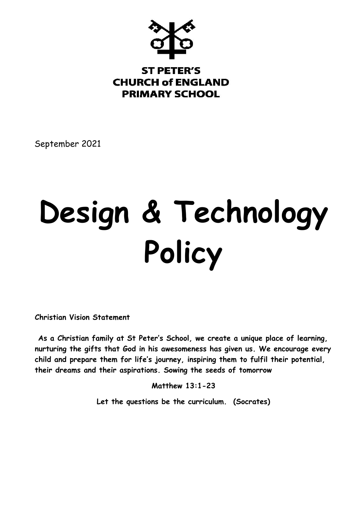

# **ST PETER'S CHURCH of ENGLAND PRIMARY SCHOOL**

September 2021

# **Design & Technology Policy**

**Christian Vision Statement**

**As a Christian family at St Peter's School, we create a unique place of learning, nurturing the gifts that God in his awesomeness has given us. We encourage every child and prepare them for life's journey, inspiring them to fulfil their potential, their dreams and their aspirations. Sowing the seeds of tomorrow** 

**Matthew 13:1-23** 

**Let the questions be the curriculum. (Socrates)**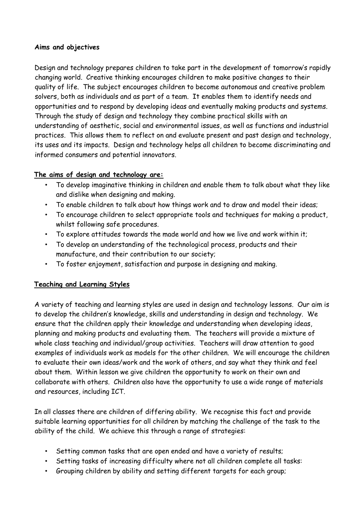#### **Aims and objectives**

Design and technology prepares children to take part in the development of tomorrow's rapidly changing world. Creative thinking encourages children to make positive changes to their quality of life. The subject encourages children to become autonomous and creative problem solvers, both as individuals and as part of a team. It enables them to identify needs and opportunities and to respond by developing ideas and eventually making products and systems. Through the study of design and technology they combine practical skills with an understanding of aesthetic, social and environmental issues, as well as functions and industrial practices. This allows them to reflect on and evaluate present and past design and technology, its uses and its impacts. Design and technology helps all children to become discriminating and informed consumers and potential innovators.

# **The aims of design and technology are:**

- To develop imaginative thinking in children and enable them to talk about what they like and dislike when designing and making.
- To enable children to talk about how things work and to draw and model their ideas;
- To encourage children to select appropriate tools and techniques for making a product, whilst following safe procedures.
- To explore attitudes towards the made world and how we live and work within it;
- To develop an understanding of the technological process, products and their manufacture, and their contribution to our society;
- To foster enjoyment, satisfaction and purpose in designing and making.

# **Teaching and Learning Styles**

A variety of teaching and learning styles are used in design and technology lessons. Our aim is to develop the children's knowledge, skills and understanding in design and technology. We ensure that the children apply their knowledge and understanding when developing ideas, planning and making products and evaluating them. The teachers will provide a mixture of whole class teaching and individual/group activities. Teachers will draw attention to good examples of individuals work as models for the other children. We will encourage the children to evaluate their own ideas/work and the work of others, and say what they think and feel about them. Within lesson we give children the opportunity to work on their own and collaborate with others. Children also have the opportunity to use a wide range of materials and resources, including ICT.

In all classes there are children of differing ability. We recognise this fact and provide suitable learning opportunities for all children by matching the challenge of the task to the ability of the child. We achieve this through a range of strategies:

- Setting common tasks that are open ended and have a variety of results;
- Setting tasks of increasing difficulty where not all children complete all tasks:
- Grouping children by ability and setting different targets for each group;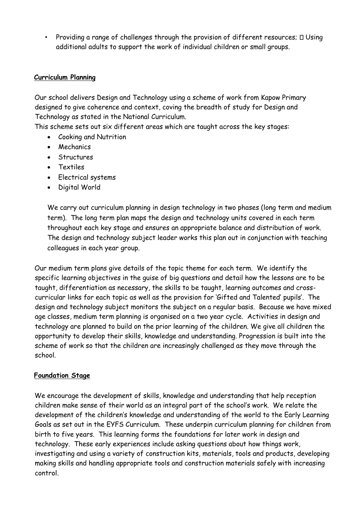• Providing a range of challenges through the provision of different resources;  $\Box$  Using additional adults to support the work of individual children or small groups.

### **Curriculum Planning**

Our school delivers Design and Technology using a scheme of work from Kapow Primary designed to give coherence and context, coving the breadth of study for Design and Technology as stated in the National Curriculum.

This scheme sets out six different areas which are taught across the key stages:

- Cooking and Nutrition
- Mechanics
- Structures
- Textiles
- Electrical systems
- Digital World

We carry out curriculum planning in design technology in two phases (long term and medium term). The long term plan maps the design and technology units covered in each term throughout each key stage and ensures an appropriate balance and distribution of work. The design and technology subject leader works this plan out in conjunction with teaching colleagues in each year group.

Our medium term plans give details of the topic theme for each term. We identify the specific learning objectives in the guise of big questions and detail how the lessons are to be taught, differentiation as necessary, the skills to be taught, learning outcomes and crosscurricular links for each topic as well as the provision for 'Gifted and Talented' pupils'. The design and technology subject monitors the subject on a regular basis. Because we have mixed age classes, medium term planning is organised on a two year cycle. Activities in design and technology are planned to build on the prior learning of the children. We give all children the opportunity to develop their skills, knowledge and understanding. Progression is built into the scheme of work so that the children are increasingly challenged as they move through the school.

# **Foundation Stage**

We encourage the development of skills, knowledge and understanding that help reception children make sense of their world as an integral part of the school's work. We relate the development of the children's knowledge and understanding of the world to the Early Learning Goals as set out in the EYFS Curriculum. These underpin curriculum planning for children from birth to five years. This learning forms the foundations for later work in design and technology. These early experiences include asking questions about how things work, investigating and using a variety of construction kits, materials, tools and products, developing making skills and handling appropriate tools and construction materials safely with increasing control.